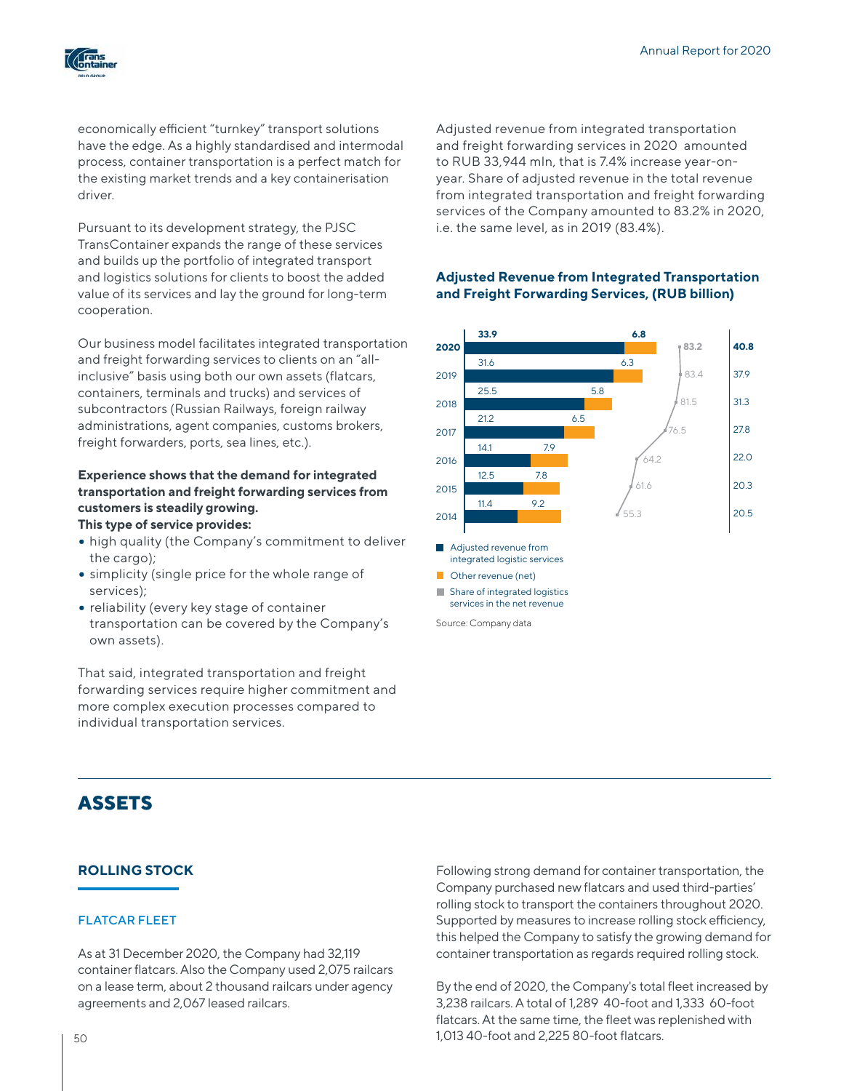

economically efficient "turnkey" transport solutions have the edge. As a highly standardised and intermodal process, container transportation is a perfect match for the existing market trends and a key containerisation driver.

Pursuant to its development strategy, the PJSC TransContainer expands the range of these services and builds up the portfolio of integrated transport and logistics solutions for clients to boost the added value of its services and lay the ground for long-term cooperation.

Our business model facilitates integrated transportation and freight forwarding services to clients on an "allinclusive" basis using both our own assets (flatcars, containers, terminals and trucks) and services of subcontractors (Russian Railways, foreign railway administrations, agent companies, customs brokers, freight forwarders, ports, sea lines, etc.).

# **Experience shows that the demand for integrated transportation and freight forwarding services from customers is steadily growing.**

- **This type of service provides:**
- high quality (the Company's commitment to deliver the cargo);
- simplicity (single price for the whole range of services);
- reliability (every key stage of container transportation can be covered by the Company's own assets).

That said, integrated transportation and freight forwarding services require higher commitment and more complex execution processes compared to individual transportation services.

### Adjusted revenue from integrated transportation and freight forwarding services in 2020 amounted to RUB 33,944 mln, that is 7.4% increase year-onyear. Share of adjusted revenue in the total revenue from integrated transportation and freight forwarding services of the Company amounted to 83.2% in 2020, i.e. the same level, as in 2019 (83.4%).

## **Adjusted Revenue from Integrated Transportation and Freight Forwarding Services, (RUB billion)**



# **ASSETS**

## **ROLLING STOCK**

#### FLATCAR FLEET

As at 31 December 2020, the Company had 32,119 container flatcars. Also the Company used 2,075 railcars on a lease term, about 2 thousand railcars under agency agreements and 2,067 leased railcars.

Following strong demand for container transportation, the Company purchased new flatcars and used third-parties' rolling stock to transport the containers throughout 2020. Supported by measures to increase rolling stock efficiency, this helped the Company to satisfy the growing demand for container transportation as regards required rolling stock.

By the end of 2020, the Company's total fleet increased by 3,238 railcars. A total of 1,289 40-foot and 1,333 60-foot flatcars. At the same time, the fleet was replenished with 1,013 40-foot and 2,225 80-foot flatcars.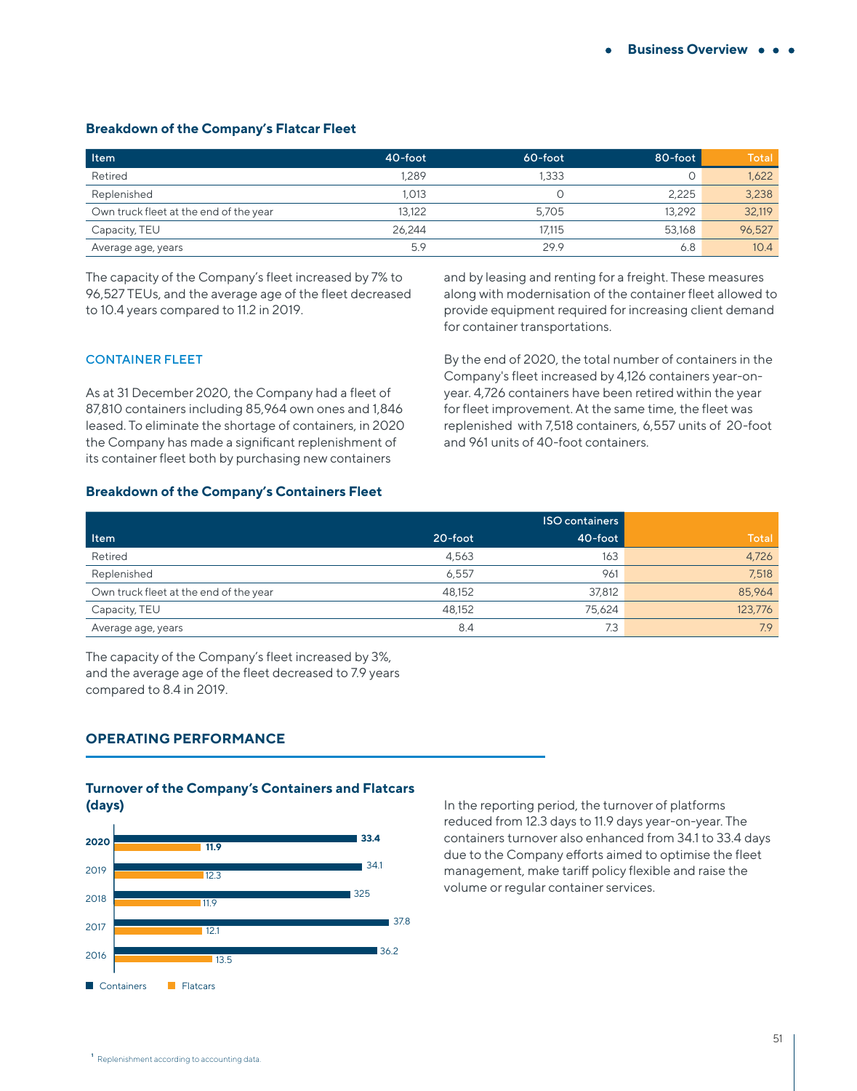#### **Breakdown of the Company's Flatcar Fleet**

| <b>Item</b>                            | 40-foot | $60$ -foot | 80-foot | Total  |
|----------------------------------------|---------|------------|---------|--------|
| Retired                                | 1.289   | 1.333      |         | 1,622  |
| Replenished                            | .013    |            | 2.225   | 3,238  |
| Own truck fleet at the end of the year | 13.122  | 5.705      | 13.292  | 32,119 |
| Capacity, TEU                          | 26.244  | 17.115     | 53.168  | 96,527 |
| Average age, years                     | 5.9     | 29.9       | 6.8     | 10.4   |

The capacity of the Company's fleet increased by 7% to 96,527 TEUs, and the average age of the fleet decreased to 10.4 years compared to 11.2 in 2019.

and by leasing and renting for a freight. These measures along with modernisation of the container fleet allowed to provide equipment required for increasing client demand for container transportations.

#### CONTAINER FLEET

As at 31 December 2020, the Company had a fleet of 87,810 containers including 85,964 own ones and 1,846 leased. To eliminate the shortage of containers, in 2020 the Company has made a significant replenishment of its container fleet both by purchasing new containers

By the end of 2020, the total number of containers in the Company's fleet increased by 4,126 containers year-onyear. 4,726 containers have been retired within the year for fleet improvement. At the same time, the fleet was replenished with 7,518 containers, 6,557 units of 20-foot and 961 units of 40-foot containers.

### **Breakdown of the Company's Containers Fleet**

|                                        |         | ISO containers |         |
|----------------------------------------|---------|----------------|---------|
| <b>Item</b>                            | 20-foot | 40-foot        | Total   |
| Retired                                | 4.563   | 163            | 4,726   |
| Replenished                            | 6.557   | 961            | 7,518   |
| Own truck fleet at the end of the year | 48,152  | 37,812         | 85.964  |
| Capacity, TEU                          | 48,152  | 75,624         | 123,776 |
| Average age, years                     | 8.4     | 7.3            | 7.9     |

The capacity of the Company's fleet increased by 3%, and the average age of the fleet decreased to 7.9 years compared to 8.4 in 2019.

#### **OPERATING PERFORMANCE**

#### **Turnover of the Company's Containers and Flatcars (days)**



In the reporting period, the turnover of platforms reduced from 12.3 days to 11.9 days year-on-year. The containers turnover also enhanced from 34.1 to 33.4 days due to the Company efforts aimed to optimise the fleet management, make tariff policy flexible and raise the volume or regular container services.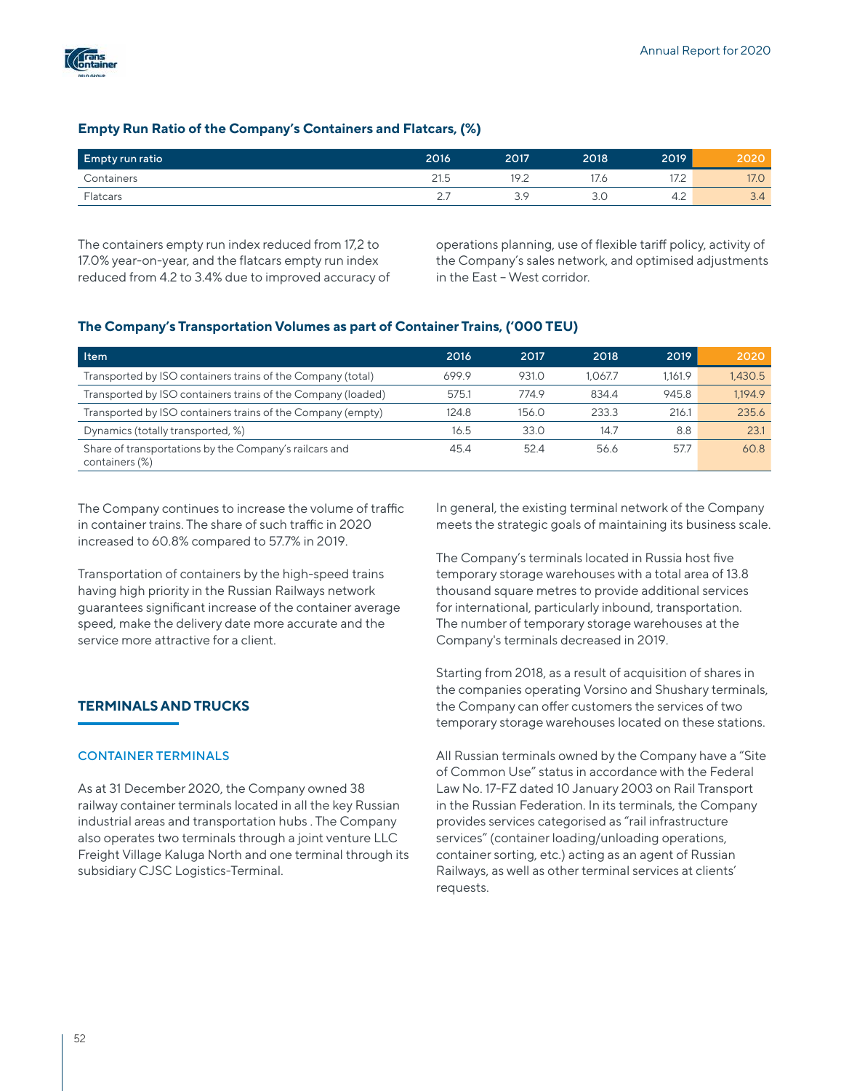

## **Empty Run Ratio of the Company's Containers and Flatcars, (%)**

| <b>Empty run ratio</b> | 2016                 | 2017                             | 2018 | 2019         | ZUZI            |
|------------------------|----------------------|----------------------------------|------|--------------|-----------------|
| Containers             | $\mathsf{A}$<br>21.5 | 19 $\degree$<br>$\cdot$ . $\sim$ | 17.6 | . <i>.</i> . | 17 <sub>c</sub> |
| Flatcars               | <u>.</u>             | S C<br>$\smile$                  | 3.0  | 4.4          | $\sim$<br>O.4   |

The containers empty run index reduced from 17,2 to 17.0% year-on-year, and the flatcars empty run index reduced from 4.2 to 3.4% due to improved accuracy of

operations planning, use of flexible tariff policy, activity of the Company's sales network, and optimised adjustments in the East – West corridor.

## **The Company's Transportation Volumes as part of Container Trains, ('000 TEU)**

| Item                                                                     | 2016  | 2017  | 2018    | 2019    | 2020    |
|--------------------------------------------------------------------------|-------|-------|---------|---------|---------|
| Transported by ISO containers trains of the Company (total)              | 699.9 | 931.0 | 1.067.7 | 1.161.9 | 1.430.5 |
| Transported by ISO containers trains of the Company (loaded)             | 575.1 | 774.9 | 834.4   | 945.8   | 1.194.9 |
| Transported by ISO containers trains of the Company (empty)              | 124.8 | 156.0 | 233.3   | 216.1   | 235.6   |
| Dynamics (totally transported, %)                                        | 16.5  | 33.0  | 14.7    | 8.8     | 23.1    |
| Share of transportations by the Company's railcars and<br>containers (%) | 45.4  | 52.4  | 56.6    | 57.7    | 60.8    |

The Company continues to increase the volume of traffic in container trains. The share of such traffic in 2020 increased to 60.8% compared to 57.7% in 2019.

Transportation of containers by the high-speed trains having high priority in the Russian Railways network guarantees significant increase of the container average speed, make the delivery date more accurate and the service more attractive for a client.

## **TERMINALS AND TRUCKS**

#### CONTAINER TERMINALS

As at 31 December 2020, the Company owned 38 railway container terminals located in all the key Russian industrial areas and transportation hubs . The Company also operates two terminals through a joint venture LLC Freight Village Kaluga North and one terminal through its subsidiary CJSC Logistics-Terminal.

In general, the existing terminal network of the Company meets the strategic goals of maintaining its business scale.

The Company's terminals located in Russia host five temporary storage warehouses with a total area of 13.8 thousand square metres to provide additional services for international, particularly inbound, transportation. The number of temporary storage warehouses at the Company's terminals decreased in 2019.

Starting from 2018, as a result of acquisition of shares in the companies operating Vorsino and Shushary terminals, the Company can offer customers the services of two temporary storage warehouses located on these stations.

All Russian terminals owned by the Company have a "Site of Common Use" status in accordance with the Federal Law No. 17-FZ dated 10 January 2003 on Rail Transport in the Russian Federation. In its terminals, the Company provides services categorised as "rail infrastructure services" (container loading/unloading operations, container sorting, etc.) acting as an agent of Russian Railways, as well as other terminal services at clients' requests.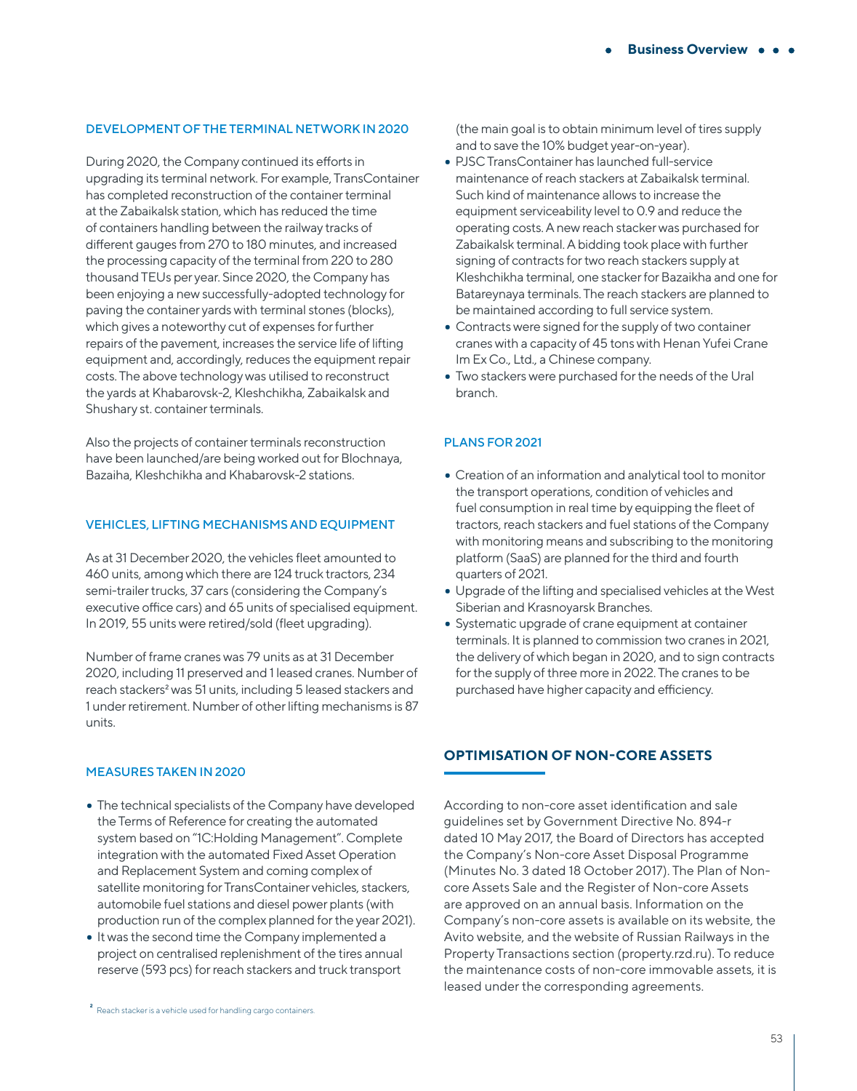## DEVELOPMENT OF THE TERMINAL NETWORK IN 2020

During 2020, the Company continued its efforts in upgrading its terminal network. For example, TransContainer has completed reconstruction of the container terminal at the Zabaikalsk station, which has reduced the time of containers handling between the railway tracks of different gauges from 270 to 180 minutes, and increased the processing capacity of the terminal from 220 to 280 thousand TEUs per year. Since 2020, the Company has been enjoying a new successfully-adopted technology for paving the container yards with terminal stones (blocks), which gives a noteworthy cut of expenses for further repairs of the pavement, increases the service life of lifting equipment and, accordingly, reduces the equipment repair costs. The above technology was utilised to reconstruct the yards at Khabarovsk-2, Kleshchikha, Zabaikalsk and Shushary st. container terminals.

Also the projects of container terminals reconstruction have been launched/are being worked out for Blochnaya, Bazaiha, Kleshchikha and Khabarovsk-2 stations.

#### VEHICLES, LIFTING MECHANISMS AND EQUIPMENT

As at 31 December 2020, the vehicles fleet amounted to 460 units, among which there are 124 truck tractors, 234 semi-trailer trucks, 37 cars (considering the Company's executive office cars) and 65 units of specialised equipment. In 2019, 55 units were retired/sold (fleet upgrading).

Number of frame cranes was 79 units as at 31 December 2020, including 11 preserved and 1 leased cranes. Number of reach stackers<sup>2</sup> was 51 units, including 5 leased stackers and 1 under retirement. Number of other lifting mechanisms is 87 units.

#### MEASURES TAKEN IN 2020

- The technical specialists of the Company have developed the Terms of Reference for creating the automated system based on "1С:Holding Management". Complete integration with the automated Fixed Asset Operation and Replacement System and coming complex of satellite monitoring for TransContainer vehicles, stackers, automobile fuel stations and diesel power plants (with production run of the complex planned for the year 2021).
- It was the second time the Company implemented a project on centralised replenishment of the tires annual reserve (593 pcs) for reach stackers and truck transport

(the main goal is to obtain minimum level of tires supply and to save the 10% budget year-on-year).

- PJSC TransContainer has launched full-service maintenance of reach stackers at Zabaikalsk terminal. Such kind of maintenance allows to increase the equipment serviceability level to 0.9 and reduce the operating costs. A new reach stacker was purchased for Zabaikalsk terminal. A bidding took place with further signing of contracts for two reach stackers supply at Kleshchikha terminal, one stacker for Bazaikha and one for Batareynaya terminals. The reach stackers are planned to be maintained according to full service system.
- Contracts were signed for the supply of two container cranes with a capacity of 45 tons with Henan Yufei Crane Im Ex Co., Ltd., a Chinese company.
- Two stackers were purchased for the needs of the Ural branch.

#### PLANS FOR 2021

- Creation of an information and analytical tool to monitor the transport operations, condition of vehicles and fuel consumption in real time by equipping the fleet of tractors, reach stackers and fuel stations of the Company with monitoring means and subscribing to the monitoring platform (SaaS) are planned for the third and fourth quarters of 2021.
- Upgrade of the lifting and specialised vehicles at the West Siberian and Krasnoyarsk Branches.
- Systematic upgrade of crane equipment at container terminals. It is planned to commission two cranes in 2021, the delivery of which began in 2020, and to sign contracts for the supply of three more in 2022. The cranes to be purchased have higher capacity and efficiency.

## **OPTIMISATION OF NON-CORE ASSETS**

According to non-core asset identification and sale guidelines set by Government Directive No. 894-r dated 10 May 2017, the Board of Directors has accepted the Company's Non-core Asset Disposal Programme (Minutes No. 3 dated 18 October 2017). The Plan of Noncore Assets Sale and the Register of Non-core Assets are approved on an annual basis. Information on the Company's non-core assets is available on its website, the Avito website, and the website of Russian Railways in the Property Transactions section (property.rzd.ru). To reduce the maintenance costs of non-core immovable assets, it is leased under the corresponding agreements.